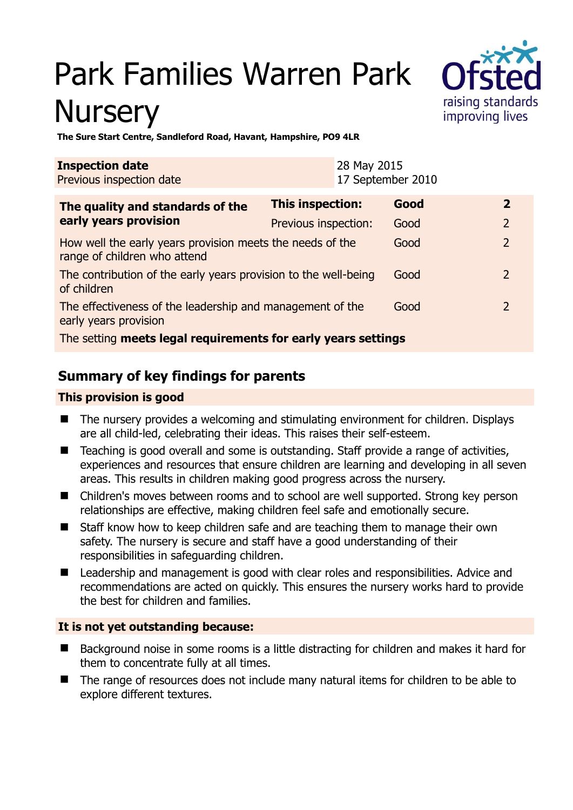# Park Families Warren Park **Nursery**



**The Sure Start Centre, Sandleford Road, Havant, Hampshire, PO9 4LR** 

| <b>Inspection date</b><br>Previous inspection date                                        |                      | 28 May 2015<br>17 September 2010 |                |
|-------------------------------------------------------------------------------------------|----------------------|----------------------------------|----------------|
| The quality and standards of the<br>early years provision                                 | This inspection:     | Good                             | $\mathbf{2}$   |
|                                                                                           | Previous inspection: | Good                             | $\overline{2}$ |
| How well the early years provision meets the needs of the<br>range of children who attend |                      | Good                             | $\mathcal{P}$  |
| The contribution of the early years provision to the well-being<br>of children            |                      | Good                             | 2              |
| The effectiveness of the leadership and management of the<br>early years provision        |                      | Good                             | $\mathcal{P}$  |
| The setting meets legal requirements for early years settings                             |                      |                                  |                |

# **Summary of key findings for parents**

#### **This provision is good**

- The nursery provides a welcoming and stimulating environment for children. Displays are all child-led, celebrating their ideas. This raises their self-esteem.
- Teaching is good overall and some is outstanding. Staff provide a range of activities, experiences and resources that ensure children are learning and developing in all seven areas. This results in children making good progress across the nursery.
- Children's moves between rooms and to school are well supported. Strong key person relationships are effective, making children feel safe and emotionally secure.
- Staff know how to keep children safe and are teaching them to manage their own safety. The nursery is secure and staff have a good understanding of their responsibilities in safeguarding children.
- Leadership and management is good with clear roles and responsibilities. Advice and recommendations are acted on quickly. This ensures the nursery works hard to provide the best for children and families.

#### **It is not yet outstanding because:**

- Background noise in some rooms is a little distracting for children and makes it hard for them to concentrate fully at all times.
- The range of resources does not include many natural items for children to be able to explore different textures.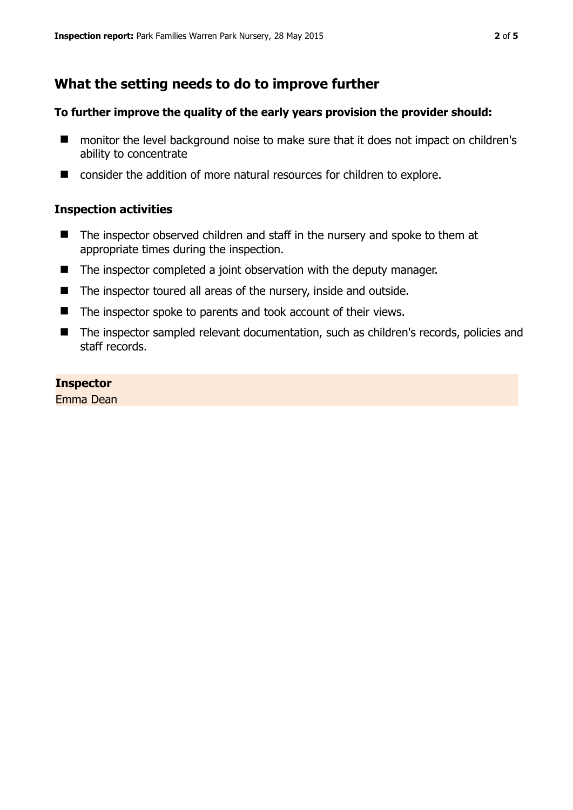## **What the setting needs to do to improve further**

#### **To further improve the quality of the early years provision the provider should:**

- monitor the level background noise to make sure that it does not impact on children's ability to concentrate
- consider the addition of more natural resources for children to explore.

#### **Inspection activities**

- The inspector observed children and staff in the nursery and spoke to them at appropriate times during the inspection.
- The inspector completed a joint observation with the deputy manager.
- The inspector toured all areas of the nursery, inside and outside.
- The inspector spoke to parents and took account of their views.
- The inspector sampled relevant documentation, such as children's records, policies and staff records.

#### **Inspector**

Emma Dean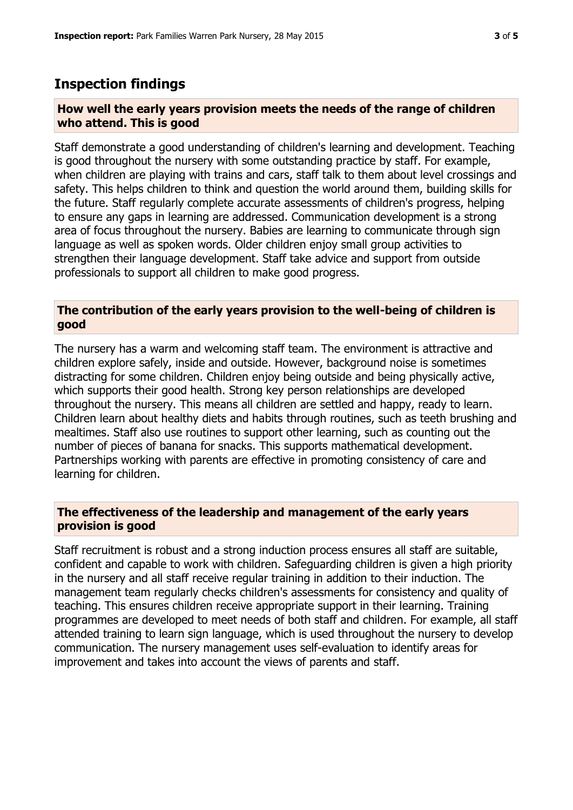### **Inspection findings**

#### **How well the early years provision meets the needs of the range of children who attend. This is good**

Staff demonstrate a good understanding of children's learning and development. Teaching is good throughout the nursery with some outstanding practice by staff. For example, when children are playing with trains and cars, staff talk to them about level crossings and safety. This helps children to think and question the world around them, building skills for the future. Staff regularly complete accurate assessments of children's progress, helping to ensure any gaps in learning are addressed. Communication development is a strong area of focus throughout the nursery. Babies are learning to communicate through sign language as well as spoken words. Older children enjoy small group activities to strengthen their language development. Staff take advice and support from outside professionals to support all children to make good progress.

#### **The contribution of the early years provision to the well-being of children is good**

The nursery has a warm and welcoming staff team. The environment is attractive and children explore safely, inside and outside. However, background noise is sometimes distracting for some children. Children enjoy being outside and being physically active, which supports their good health. Strong key person relationships are developed throughout the nursery. This means all children are settled and happy, ready to learn. Children learn about healthy diets and habits through routines, such as teeth brushing and mealtimes. Staff also use routines to support other learning, such as counting out the number of pieces of banana for snacks. This supports mathematical development. Partnerships working with parents are effective in promoting consistency of care and learning for children.

#### **The effectiveness of the leadership and management of the early years provision is good**

Staff recruitment is robust and a strong induction process ensures all staff are suitable, confident and capable to work with children. Safeguarding children is given a high priority in the nursery and all staff receive regular training in addition to their induction. The management team regularly checks children's assessments for consistency and quality of teaching. This ensures children receive appropriate support in their learning. Training programmes are developed to meet needs of both staff and children. For example, all staff attended training to learn sign language, which is used throughout the nursery to develop communication. The nursery management uses self-evaluation to identify areas for improvement and takes into account the views of parents and staff.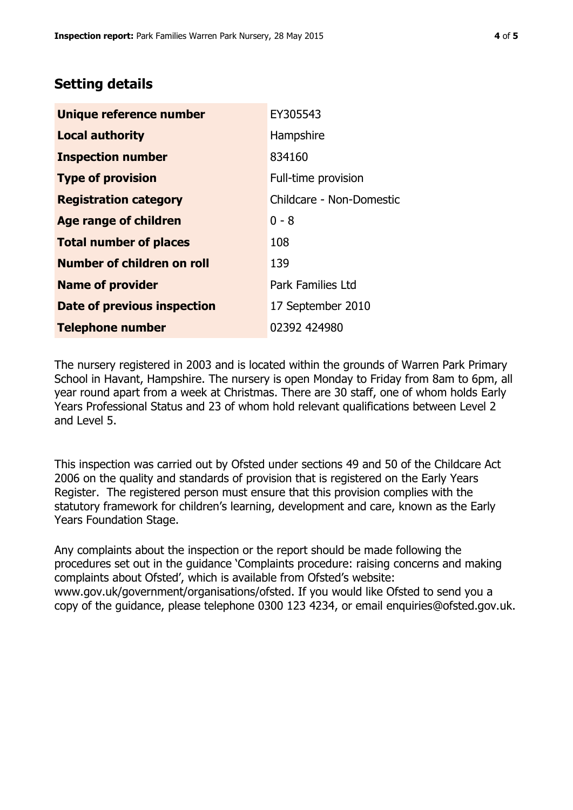## **Setting details**

| Unique reference number       | EY305543                 |
|-------------------------------|--------------------------|
| <b>Local authority</b>        | Hampshire                |
| <b>Inspection number</b>      | 834160                   |
| <b>Type of provision</b>      | Full-time provision      |
| <b>Registration category</b>  | Childcare - Non-Domestic |
| <b>Age range of children</b>  | $0 - 8$                  |
| <b>Total number of places</b> | 108                      |
| Number of children on roll    | 139                      |
| <b>Name of provider</b>       | <b>Park Families Ltd</b> |
| Date of previous inspection   | 17 September 2010        |
| <b>Telephone number</b>       | 02392 424980             |

The nursery registered in 2003 and is located within the grounds of Warren Park Primary School in Havant, Hampshire. The nursery is open Monday to Friday from 8am to 6pm, all year round apart from a week at Christmas. There are 30 staff, one of whom holds Early Years Professional Status and 23 of whom hold relevant qualifications between Level 2 and Level 5.

This inspection was carried out by Ofsted under sections 49 and 50 of the Childcare Act 2006 on the quality and standards of provision that is registered on the Early Years Register. The registered person must ensure that this provision complies with the statutory framework for children's learning, development and care, known as the Early Years Foundation Stage.

Any complaints about the inspection or the report should be made following the procedures set out in the guidance 'Complaints procedure: raising concerns and making complaints about Ofsted', which is available from Ofsted's website: www.gov.uk/government/organisations/ofsted. If you would like Ofsted to send you a copy of the guidance, please telephone 0300 123 4234, or email enquiries@ofsted.gov.uk.